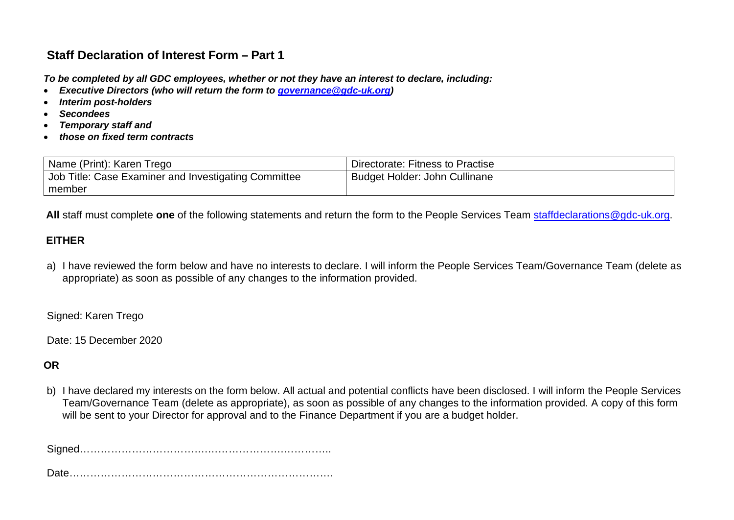# **Staff Declaration of Interest Form – Part 1**

*To be completed by all GDC employees, whether or not they have an interest to declare, including:*

- *Executive Directors (who will return the form to [governance@gdc-uk.org\)](mailto:governance@gdc-uk.org)*
- *Interim post-holders*
- *Secondees*
- *Temporary staff and*
- *those on fixed term contracts*

| Name (Print): Karen Trego                            | Directorate: Fitness to Practise |
|------------------------------------------------------|----------------------------------|
| Job Title: Case Examiner and Investigating Committee | Budget Holder: John Cullinane    |
| member                                               |                                  |

 **All** staff must complete **one** of the following statements and return the form to the People Services Team [staffdeclarations@gdc-uk.org.](mailto:staffdeclarations@gdc-uk.org)

## **EITHER**

a) I have reviewed the form below and have no interests to declare. I will inform the People Services Team/Governance Team (delete as appropriate) as soon as possible of any changes to the information provided.

Signed: Karen Trego

Date: 15 December 2020

## **OR**

b) I have declared my interests on the form below. All actual and potential conflicts have been disclosed. I will inform the People Services Team/Governance Team (delete as appropriate), as soon as possible of any changes to the information provided. A copy of this form will be sent to your Director for approval and to the Finance Department if you are a budget holder.

Signed……………………………….………………….…………..

Date………………………………………………………………….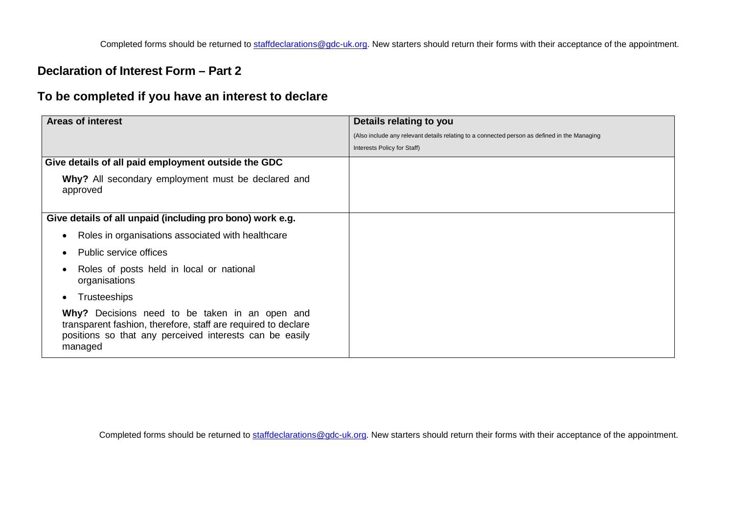Completed forms should be returned to [staffdeclarations@gdc-uk.org.](mailto:staffdeclarations@gdc-uk.org) New starters should return their forms with their acceptance of the appointment.

## **Declaration of Interest Form – Part 2**

## **To be completed if you have an interest to declare**

| <b>Areas of interest</b>                                                                                                                                                              | Details relating to you                                                                      |
|---------------------------------------------------------------------------------------------------------------------------------------------------------------------------------------|----------------------------------------------------------------------------------------------|
|                                                                                                                                                                                       | (Also include any relevant details relating to a connected person as defined in the Managing |
|                                                                                                                                                                                       | Interests Policy for Staff)                                                                  |
| Give details of all paid employment outside the GDC                                                                                                                                   |                                                                                              |
| Why? All secondary employment must be declared and<br>approved                                                                                                                        |                                                                                              |
| Give details of all unpaid (including pro bono) work e.g.                                                                                                                             |                                                                                              |
| Roles in organisations associated with healthcare<br>$\bullet$                                                                                                                        |                                                                                              |
| Public service offices<br>$\bullet$                                                                                                                                                   |                                                                                              |
| Roles of posts held in local or national<br>٠<br>organisations                                                                                                                        |                                                                                              |
| <b>Trusteeships</b><br>$\bullet$                                                                                                                                                      |                                                                                              |
| Why? Decisions need to be taken in an open and<br>transparent fashion, therefore, staff are required to declare<br>positions so that any perceived interests can be easily<br>managed |                                                                                              |

Completed forms should be returned to [staffdeclarations@gdc-uk.org.](mailto:staffdeclarations@gdc-uk.org) New starters should return their forms with their acceptance of the appointment.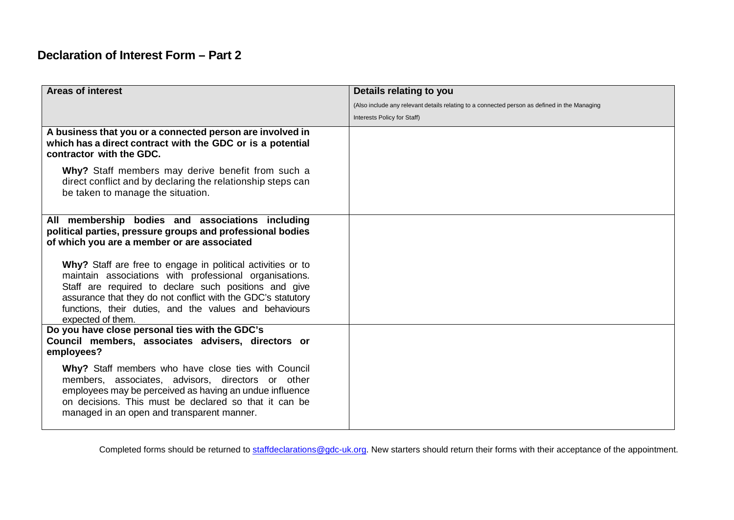# **Declaration of Interest Form – Part 2**

| <b>Areas of interest</b>                                                                                                                                                                                                                                                                                                      | Details relating to you                                                                      |
|-------------------------------------------------------------------------------------------------------------------------------------------------------------------------------------------------------------------------------------------------------------------------------------------------------------------------------|----------------------------------------------------------------------------------------------|
|                                                                                                                                                                                                                                                                                                                               | (Also include any relevant details relating to a connected person as defined in the Managing |
|                                                                                                                                                                                                                                                                                                                               | Interests Policy for Staff)                                                                  |
| A business that you or a connected person are involved in<br>which has a direct contract with the GDC or is a potential<br>contractor with the GDC.                                                                                                                                                                           |                                                                                              |
| Why? Staff members may derive benefit from such a<br>direct conflict and by declaring the relationship steps can<br>be taken to manage the situation.                                                                                                                                                                         |                                                                                              |
| All membership bodies and associations including<br>political parties, pressure groups and professional bodies<br>of which you are a member or are associated                                                                                                                                                                 |                                                                                              |
| Why? Staff are free to engage in political activities or to<br>maintain associations with professional organisations.<br>Staff are required to declare such positions and give<br>assurance that they do not conflict with the GDC's statutory<br>functions, their duties, and the values and behaviours<br>expected of them. |                                                                                              |
| Do you have close personal ties with the GDC's<br>Council members, associates advisers, directors or<br>employees?                                                                                                                                                                                                            |                                                                                              |
| Why? Staff members who have close ties with Council<br>members, associates, advisors, directors or other<br>employees may be perceived as having an undue influence<br>on decisions. This must be declared so that it can be<br>managed in an open and transparent manner.                                                    |                                                                                              |

Completed forms should be returned to [staffdeclarations@gdc-uk.org.](mailto:staffdeclarations@gdc-uk.org) New starters should return their forms with their acceptance of the appointment.